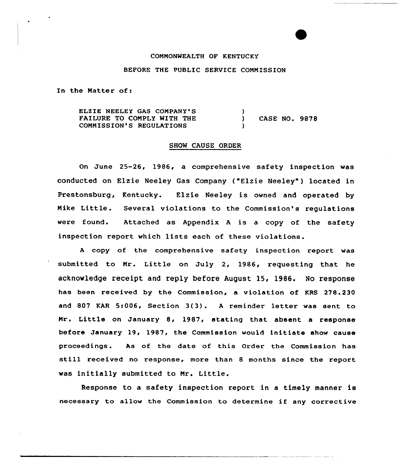### CONNONWEALTH OF KENTUCKY

# BEFORE THE PUBLIC SERVICE COMMISSION

In the Matter of:

ELZIE NEELEY GAS COMPANY'S FAILURE TO CONPLY WITH THE COMMISSION'S REGULATIONS ) ) CASE NO. 9878 )

## SHOW CAUSE ORDER

On June 25-26, 1986, a comprehensive safety inspection was conducted on Elzie Neeley Gas Company ("Elzie Neeley") located in Prestonsburg, Kentucky. Elzie Neeley is owned and operated by Nike Little. Several violations to the Commission's regulations were found. Attached as Appendix <sup>A</sup> is a copy of the safety inspection report which lists each of these violations.

<sup>A</sup> copy of the comprehensive safety inspection report was submitted to Mr. Little on July 2, 1986, requesting that he acknowledge receipt and reply before August 15, 1986. No response has been received by the Commission, a violation of KRS 278.230 and <sup>807</sup> KAR 5:006, Section 3(3). <sup>A</sup> reminder letter was sent to Mr. Little on January 8, 1987, stating that absent a response before January 19, 1987, the Commission would initiate show cause proceedings. As of the date of this Order the Commission has still received no response, more than <sup>8</sup> months since the report was initially submitted to Nr. Little.

Response to a safety inspection report in a timely manner is necessary to allow the Commission to determine if any corrective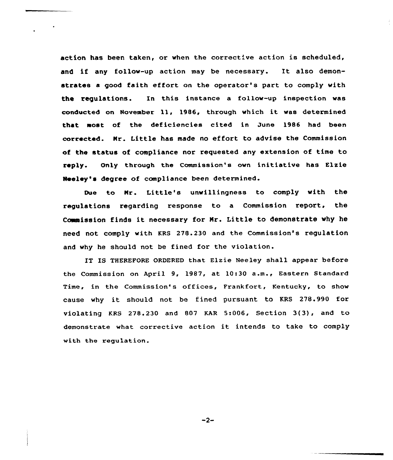action has been taken, or when the corrective action is scheduled, and if any follow-up action may be necessary. It also demonstrates a good faith effort on the operator's part to comply with the regulations. In this instance a follow-up inspection was conducted on November ll, l986, through which it was determined that most of the deficiencies cited in June 1986 had been corrected. Nr. Little has made no effort to advise the Commission of the status of compliance nor requested any extension of time to reply. Only through the Commission's own initiative has Elzie Neeley's degree of compliance been determined.

Due to Nr. Little's unwillingness to comply with the regulations regarding response to a Commission report, the Commission finds it necessary for Mr. Little to demonstrate why he need not comply with KRS 278.230 and the Commission's regulation and why he should not be fined for the violation.

IT IS THEREFORE ORDERED that Elzie Neeley shall appear before the Commission on April 9, 1987, at 10:30 a.m., Eastern Standard Time, in the Commission's offices, Frankfort, Kentucky, to show cause why it should not be fined pursuant to KRS 278.990 for violating KRS 278.230 and 807 KAR 5:006, Section 3(3), and to demonstrate what corrective action it intends to take to comply with the regulation.

 $-2-$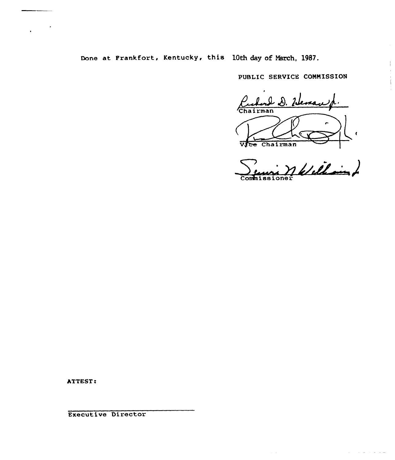Done at Frankfort, Kentucky, this 10th day of March, 1987.

 $\frac{1}{1}$ 

 $\alpha$  , and  $\alpha$  , and  $\alpha$  , and  $\alpha$ 

PUBLIC SERVICE COMMISSION

Vote Chairman<br>Sensi Nelellain Commissione

ATTEST:

Executive Director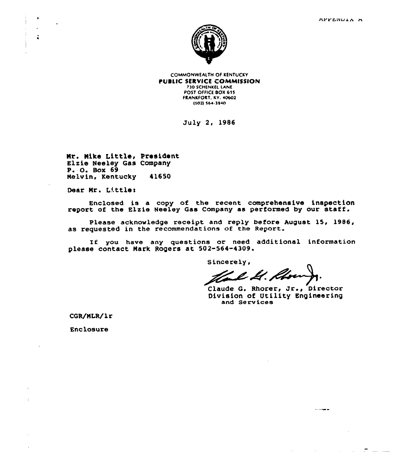

**COMMONWEALTH OF KENTUCKY** PUBLIC SERVICE COMMISSION **730 SCHENKEL LANE** POST OFFICE BOX 615 FRANKFORT, KY. 40602 (502) \$64.1940

July 2, 1986

Nr. Nike Little, President Elxie Heeley Gas Company P. O. Box 69 Melvin, Kentucky 41650

Dear Mr. Little:

Enclosed is a copy of the recent compxehensive inspection report of the Elxie Neeley Gas Company as performed by oux staff.

Please acknowledge receipt and reply before August 15, 1986, as requested in the recommendations of the Report.

If you have any questions or need additional information please contact Nark Rogers at 502-564-4309.

Sincerely,

Le Il. Khon

Claude G. Rhorer, Jr., Director<br>Division of Utility Engineering and Servicee

 $\ldots$ 

 $\sim 10^{11}$  m  $^{-1}$ 

 $\mathcal{L}^{\text{max}}$  and

and the contract and the contract of

CGR/NLR/lr

Enclosure

 $\bar{1}$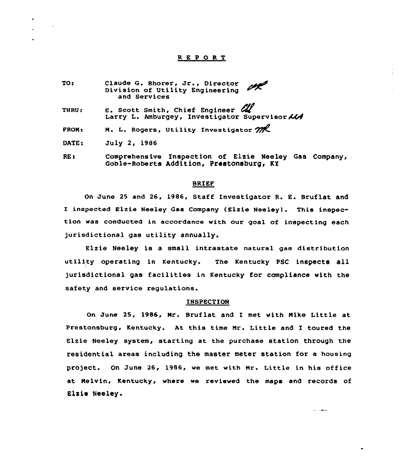## REPORT

TO: Claude G. Rhorer, Jr., Director UK. Division of Utility Engineering and Services E. Scott Smith, Chief Engineer  $\mathscr{U}$ THRU: Larry L. Amburgey, Investigator Supervisor  $\mathcal{U}$ M. L. Rogers, Utility Investigator  $m$ PRON: DATE: July 2, 19S6 Comprehensive Inspection of Elxie Neeley Gas Company, RE:

### BRIEF

Goble-Roberts Addition, Prestonsburg, KY

On June 25 and 26, 1986, Staff Investigator R. E. Bruflat and <sup>I</sup> inspected Elzie Neeley Gas Company (Elxie Neeley) . This inspection was conducted in accordance with our goal of inspecting each jurisdictional gas utility annually.

Elxie Neeley is a small intrastate natura1 gas distribution utility operating in Kentucky. The Kentucky PSC inspects all jurisdictional gas facilities in Kentucky for compliance with the safety and service regulations.

#### INSPECTION

On June 25, 1986, Mr. Bruflat and I met with Nike Little at Prestonsburg, Kentucky. At. this time Mr. Little and I toured the Elxie Neeley system, starting at the purchase station through the residential areas including the master meter station for a housing project. On June 26, 1986, we met with Nr. Little in his office at Nelvin, Kentucky, where we reviewed the maps and records of Elxie Neeley.

 $\cdots$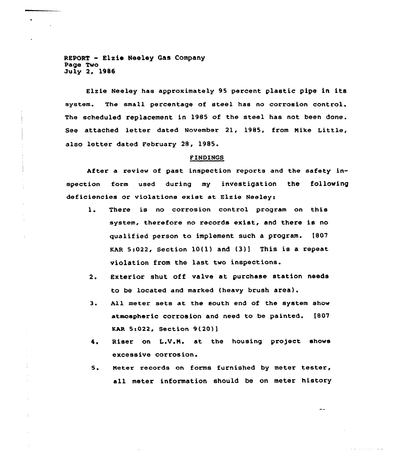REPORT - Elzie Neeley Gas Company Page Two July 2, 1986

Elzie Neeley has approximately 95 percent plastic pipe in its system. The small percentage of steel has no corrosion control. The scheduled replacement in 1985 of the steel has not been done. See attached letter dated November 21, 1985, from Nike Little, also letter dated February 28, 1985.

#### FINDINGS

After a review of past inspection reports and the safety inspection form used during my investigation the following deficiencies or violations exist at Elzie Neeley:

- 1. There is no corrosion control program on this system, therefore no records exist, and there is no qualified person to implement such a program. [807 KAR  $5:022$ , Section  $10(1)$  and  $(3)$ ] This is a repeat violation from the last two inspections.
- 2. Exterior shut off valve at purchase station needs to be located and marked (heavy brush area).
- 3. All meter sets at the south end of the system show atmospheric corrosion and need to be painted. 1807 KAR 5:022, Section 9(20)]
- 4. Riser on L.V.M. at the housing project shows excessive corrosion.
- 5. Meter records on forms furnished by meter tester, all meter information should be on meter history

 $\overline{a}$ 

and a concentration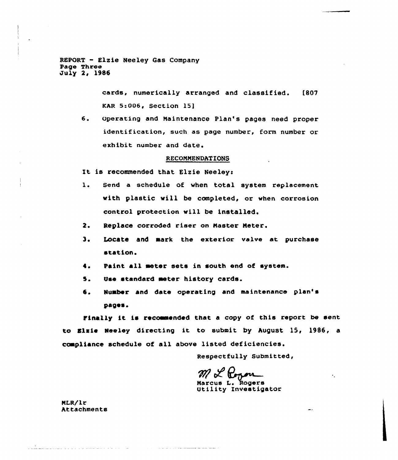REPORT - Elzie Neeley Gas Company Page Three July 2, 1986

> cards, numerically arranged and classified. [807 KAR 5:006, Section 15]

6. Operating and Maintenance Plan's pages need proper identification, such as page number, form number or exhibit number and date.

### RECOMMENDATlONS

It is recommended that Elzie Neeley:

- l. Send <sup>a</sup> schedule of when total system replacement with plastic will be completed, or when corrosion control protection will be installed.
- 2. Replace corroded riser on Naster Neter.
- 3. Locate and mark the exterior valve at purchase station.
- I. Paint all aeter seta in south end of system.
- 5. Use standard meter history cards.
- 6. Number and date operating and maintenance plan's pages.

Finally it is recommended that a copy of this report be sent to Elsie Neeley directing it to submit by hugust 15, 1986, <sup>a</sup> compliance schedule of all above listed deficiencies.

Respectfully Submitted,

 $\bullet$  .

ML Corporation<br>Marcus L. Rogers<br>Utility Investigator

NLR/lr Attachments

<u>Andre Barbara e la provincia de la pro</u>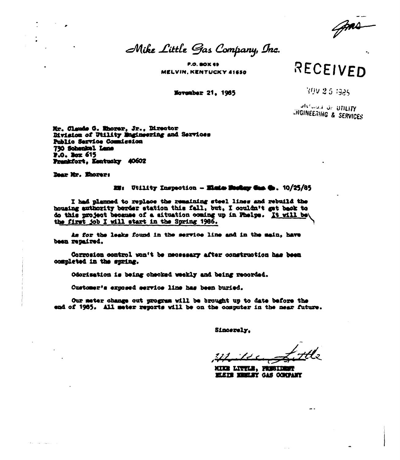Mike Little Gas Company, Inc.

**P.O. BOX 69 MELVIN. KENTUCKY 41650** 

November 21, 1965

RECEIVED

YOV 2.5 1985

**SIVILLE OF BTILITY LINGINEERING & SERVICES** 

Mr. Claude G. Mhorer, Jr., Director Division of Utility Engineering and Services Public Service Counistion 730 Sobenkel Lane P.O. Box 615 Prenkfort, Kentucky 40602

Dear Mr. Ehorer:

# $III:$  Utility Inspection - Elmin Moday Cas (b.  $10/25/85$

I had planned to replace the remaining steel lines and rebuild the housing authority berder station this fall, but, I couldn't get back to do this project because of a situation coming up in Phelps. It will be the first job I will start in the Spring 1966.

As for the leaks found in the service line and in the main, have been repaired.

Corresion control won't be necessary after construction has been completed in the spring.

Odorisation is being checked weekly and being recorded.

Customer's exposed service line has been buried.

Our meter change out progress will be brought up to date before the end of 1985. All meter reports will be on the computer in the mear future.

Sincerely.

MIKE LITTLE, PRESIDENT **MEIL MELEY GAS COUPANY**